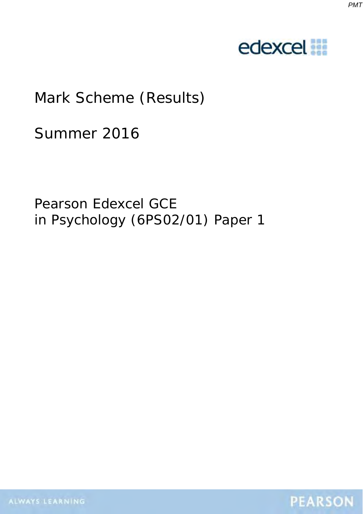



# Mark Scheme (Results)

Summer 2016

Pearson Edexcel GCE in Psychology (6PS02/01) Paper 1

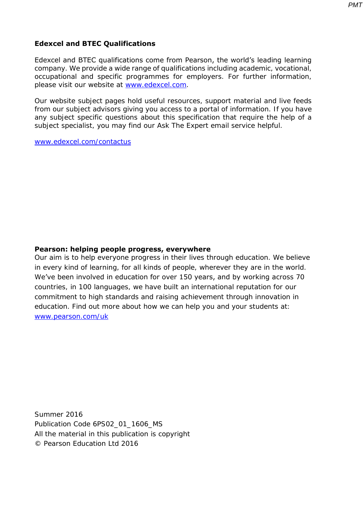Edexcel and BTEC qualifications come from Pearson, the world's leading learning company. We provide a wide range of qualifications including academic, vocational, occupational and specific programmes for employers. For further information, please visit our website at [www.edexcel.com.](http://www.edexcel.com/)

Our website subject pages hold useful resources, support material and live feeds from our subject advisors giving you access to a portal of information. If you have any subject specific questions about this specification that require the help of a subject specialist, you may find our Ask The Expert email service helpful.

[www.edexcel.com/contactus](http://www.edexcel.com/contactus)

**Edexcel and BTEC Qualifications** 

#### **Pearson: helping people progress, everywhere**

Our aim is to help everyone progress in their lives through education. We believe in every kind of learning, for all kinds of people, wherever they are in the world. We've been involved in education for over 150 years, and by working across 70 countries, in 100 languages, we have built an international reputation for our commitment to high standards and raising achievement through innovation in education. Find out more about how we can help you and your students at: [www.pearson.com/uk](http://www.pearson.com/uk)

Summer 2016 Publication Code 6PS02\_01\_1606\_MS All the material in this publication is copyright © Pearson Education Ltd 2016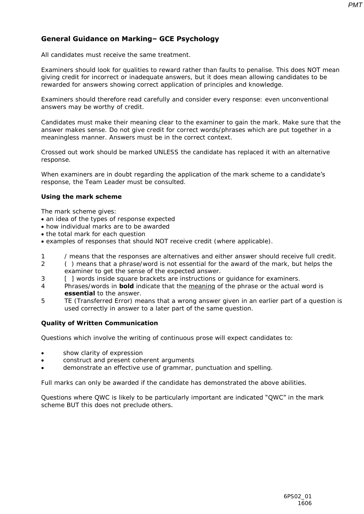## **General Guidance on Marking– GCE Psychology**

All candidates must receive the same treatment.

Examiners should look for qualities to reward rather than faults to penalise. This does NOT mean giving credit for incorrect or inadequate answers, but it does mean allowing candidates to be rewarded for answers showing correct application of principles and knowledge.

Examiners should therefore read carefully and consider every response: even unconventional answers may be worthy of credit.

Candidates must make their meaning clear to the examiner to gain the mark. Make sure that the answer makes sense. Do not give credit for correct words/phrases which are put together in a meaningless manner. Answers must be in the correct context.

Crossed out work should be marked UNLESS the candidate has replaced it with an alternative response.

When examiners are in doubt regarding the application of the mark scheme to a candidate's response, the Team Leader must be consulted.

#### **Using the mark scheme**

- The mark scheme gives:
- an idea of the types of response expected
- how individual marks are to be awarded
- the total mark for each question
- examples of responses that should NOT receive credit (where applicable).
- 1 / means that the responses are alternatives and either answer should receive full credit.
- 2 ( ) means that a phrase/word is not essential for the award of the mark, but helps the examiner to get the sense of the expected answer.
- 3 [ ] words inside square brackets are instructions or guidance for examiners.
- 4 Phrases/words in **bold** indicate that the meaning of the phrase or the actual word is **essential** to the answer.
- 5 TE (Transferred Error) means that a wrong answer given in an earlier part of a question is used correctly in answer to a later part of the same question.

#### **Quality of Written Communication**

Questions which involve the writing of continuous prose will expect candidates to:

- show clarity of expression
- construct and present coherent arguments
- demonstrate an effective use of grammar, punctuation and spelling.

Full marks can only be awarded if the candidate has demonstrated the above abilities.

#### Questions where QWC is likely to be particularly important are indicated "QWC" in the mark scheme BUT this does not preclude others*.*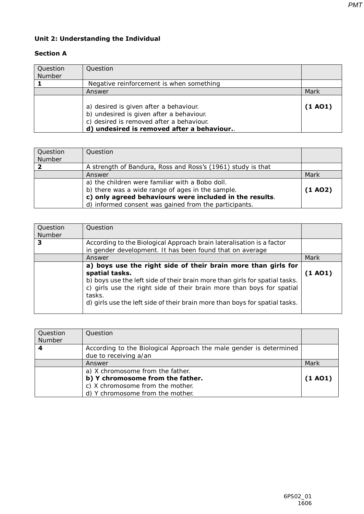## **Unit 2: Understanding the Individual**

### **Section A**

| Question<br>Number | Question                                                                                                                                                                     |         |
|--------------------|------------------------------------------------------------------------------------------------------------------------------------------------------------------------------|---------|
|                    | Negative reinforcement is when something                                                                                                                                     |         |
|                    | Answer                                                                                                                                                                       | Mark    |
|                    | a) desired is given after a behaviour.<br>b) undesired is given after a behaviour.<br>c) desired is removed after a behaviour.<br>d) undesired is removed after a behaviour. | (1 A01) |

| Question<br>Number | Question                                                                                                                                                       |         |
|--------------------|----------------------------------------------------------------------------------------------------------------------------------------------------------------|---------|
|                    | A strength of Bandura, Ross and Ross's (1961) study is that                                                                                                    |         |
|                    | Answer                                                                                                                                                         | Mark    |
|                    | a) the children were familiar with a Bobo doll.<br>b) there was a wide range of ages in the sample.<br>c) only agreed behaviours were included in the results. | (1 A02) |
|                    | d) informed consent was gained from the participants.                                                                                                          |         |

| Question<br>Number | Question                                                                                                                                                                                                                                                                                                                         |         |
|--------------------|----------------------------------------------------------------------------------------------------------------------------------------------------------------------------------------------------------------------------------------------------------------------------------------------------------------------------------|---------|
| З                  | According to the Biological Approach brain lateralisation is a factor<br>in gender development. It has been found that on average                                                                                                                                                                                                |         |
|                    | Answer                                                                                                                                                                                                                                                                                                                           | Mark    |
|                    | a) boys use the right side of their brain more than girls for<br>spatial tasks.<br>b) boys use the left side of their brain more than girls for spatial tasks.<br>c) girls use the right side of their brain more than boys for spatial<br>tasks.<br>d) girls use the left side of their brain more than boys for spatial tasks. | (1 AO1) |

| <b>Ouestion</b><br>Number | Question                                                                                                                                     |         |
|---------------------------|----------------------------------------------------------------------------------------------------------------------------------------------|---------|
| 4                         | According to the Biological Approach the male gender is determined<br>due to receiving a/an                                                  |         |
|                           | Answer                                                                                                                                       | Mark    |
|                           | a) X chromosome from the father.<br>b) Y chromosome from the father.<br>c) X chromosome from the mother.<br>d) Y chromosome from the mother. | (1 A01) |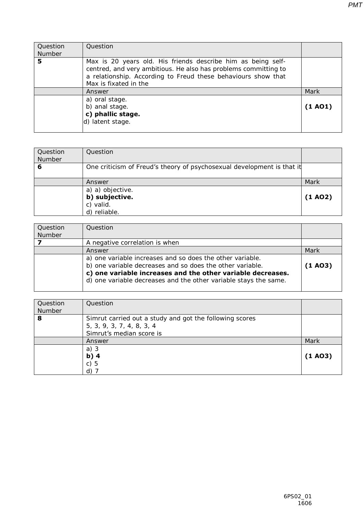| Question<br>Number | Question                                                                                                                                                                                                                  |         |
|--------------------|---------------------------------------------------------------------------------------------------------------------------------------------------------------------------------------------------------------------------|---------|
| 5                  | Max is 20 years old. His friends describe him as being self-<br>centred, and very ambitious. He also has problems committing to<br>a relationship. According to Freud these behaviours show that<br>Max is fixated in the |         |
|                    | Answer                                                                                                                                                                                                                    | Mark    |
|                    | a) oral stage.<br>b) anal stage.<br>c) phallic stage.<br>d) latent stage.                                                                                                                                                 | (1 A01) |

| Question<br>Number | Question                                                               |         |
|--------------------|------------------------------------------------------------------------|---------|
| 6                  | One criticism of Freud's theory of psychosexual development is that it |         |
|                    | Answer                                                                 | Mark    |
|                    | a) a) objective.<br>b) subjective.<br>c) valid.<br>d) reliable.        | (1 A02) |

| Ouestion<br>Number | Question                                                                                                                                                                                                                                                  |         |
|--------------------|-----------------------------------------------------------------------------------------------------------------------------------------------------------------------------------------------------------------------------------------------------------|---------|
|                    | A negative correlation is when                                                                                                                                                                                                                            |         |
|                    | Answer                                                                                                                                                                                                                                                    | Mark    |
|                    | a) one variable increases and so does the other variable.<br>b) one variable decreases and so does the other variable.<br>c) one variable increases and the other variable decreases.<br>d) one variable decreases and the other variable stays the same. | (1 A03) |

| Question<br>Number | Question                                                                                                         |         |
|--------------------|------------------------------------------------------------------------------------------------------------------|---------|
| 8                  | Simrut carried out a study and got the following scores<br>5, 3, 9, 3, 7, 4, 8, 3, 4<br>Simrut's median score is |         |
|                    | Answer                                                                                                           | Mark    |
|                    | a) $3$<br>b) $4$<br>c)5<br>d)                                                                                    | (1 A03) |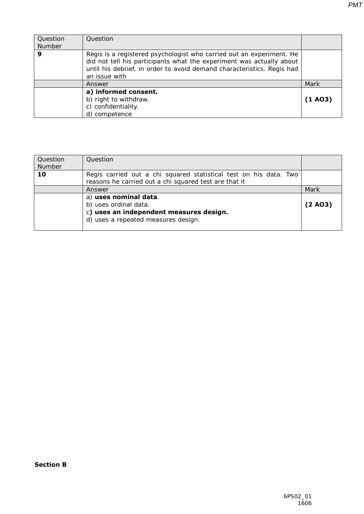| Question<br>Number | Question                                                                                                                                                                                                                                |         |
|--------------------|-----------------------------------------------------------------------------------------------------------------------------------------------------------------------------------------------------------------------------------------|---------|
| 9                  | Regis is a registered psychologist who carried out an experiment. He<br>did not tell his participants what the experiment was actually about<br>until his debrief, in order to avoid demand characteristics. Regis had<br>an issue with |         |
|                    | Answer                                                                                                                                                                                                                                  | Mark    |
|                    | a) informed consent.<br>b) right to withdraw.<br>c) confidentiality.<br>d) competence                                                                                                                                                   | (1 A03) |

| Question<br>Number | Question                                                                                                                         |         |
|--------------------|----------------------------------------------------------------------------------------------------------------------------------|---------|
| 10                 | Regis carried out a chi squared statistical test on his data. Two<br>reasons he carried out a chi squared test are that it       |         |
|                    | Answer                                                                                                                           | Mark    |
|                    | a) uses nominal data.<br>b) uses ordinal data.<br>c) uses an independent measures design.<br>d) uses a repeated measures design. | (2 A03) |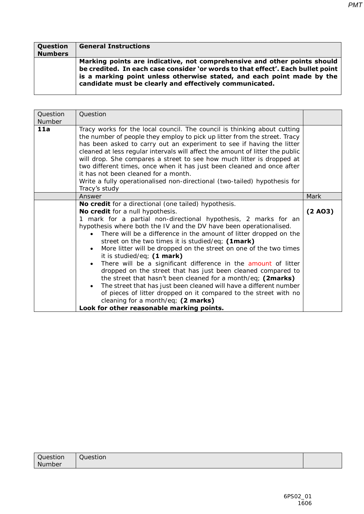| <b>Question</b> | <b>General Instructions</b>                                                                                                                                                                                                                                                                      |
|-----------------|--------------------------------------------------------------------------------------------------------------------------------------------------------------------------------------------------------------------------------------------------------------------------------------------------|
| <b>Numbers</b>  |                                                                                                                                                                                                                                                                                                  |
|                 | Marking points are indicative, not comprehensive and other points should<br>be credited. In each case consider 'or words to that effect'. Each bullet point<br>is a marking point unless otherwise stated, and each point made by the<br>candidate must be clearly and effectively communicated. |

| Question<br>Number | Question                                                                                                                                                                                                                                                                                                                                                                                                                                                                                                                                                                                                                                                                                                                                                                                                                                                                                           |         |
|--------------------|----------------------------------------------------------------------------------------------------------------------------------------------------------------------------------------------------------------------------------------------------------------------------------------------------------------------------------------------------------------------------------------------------------------------------------------------------------------------------------------------------------------------------------------------------------------------------------------------------------------------------------------------------------------------------------------------------------------------------------------------------------------------------------------------------------------------------------------------------------------------------------------------------|---------|
| 11a                | Tracy works for the local council. The council is thinking about cutting<br>the number of people they employ to pick up litter from the street. Tracy<br>has been asked to carry out an experiment to see if having the litter<br>cleaned at less regular intervals will affect the amount of litter the public<br>will drop. She compares a street to see how much litter is dropped at<br>two different times, once when it has just been cleaned and once after<br>it has not been cleaned for a month.<br>Write a fully operationalised non-directional (two-tailed) hypothesis for<br>Tracy's study                                                                                                                                                                                                                                                                                           |         |
|                    | Answer                                                                                                                                                                                                                                                                                                                                                                                                                                                                                                                                                                                                                                                                                                                                                                                                                                                                                             | Mark    |
|                    | No credit for a directional (one tailed) hypothesis.<br>No credit for a null hypothesis.<br>mark for a partial non-directional hypothesis, 2 marks for an<br>1<br>hypothesis where both the IV and the DV have been operationalised.<br>There will be a difference in the amount of litter dropped on the<br>street on the two times it is studied/eq; (1mark)<br>More litter will be dropped on the street on one of the two times<br>it is studied/eq; (1 mark)<br>There will be a significant difference in the amount of litter<br>dropped on the street that has just been cleaned compared to<br>the street that hasn't been cleaned for a month/eq; (2marks)<br>The street that has just been cleaned will have a different number<br>of pieces of litter dropped on it compared to the street with no<br>cleaning for a month/eq; $(2 marks)$<br>Look for other reasonable marking points. | (2 A03) |

| Question | -<br>Question |  |
|----------|---------------|--|
| Number   |               |  |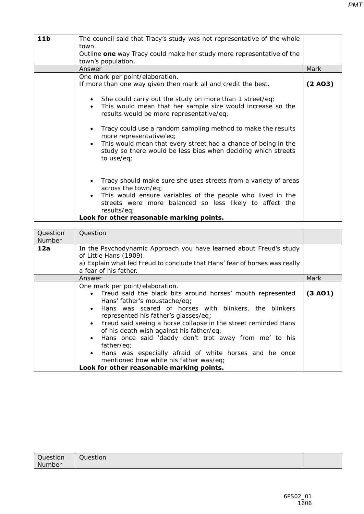| 11 <sub>b</sub> | The council said that Tracy's study was not representative of the whole                                                                                                                                                                               |         |
|-----------------|-------------------------------------------------------------------------------------------------------------------------------------------------------------------------------------------------------------------------------------------------------|---------|
|                 | town.                                                                                                                                                                                                                                                 |         |
|                 | Outline one way Tracy could make her study more representative of the                                                                                                                                                                                 |         |
|                 | town's population.                                                                                                                                                                                                                                    |         |
|                 | Answer                                                                                                                                                                                                                                                | Mark    |
|                 | One mark per point/elaboration.                                                                                                                                                                                                                       |         |
|                 | If more than one way given then mark all and credit the best.                                                                                                                                                                                         | (2 A03) |
|                 | She could carry out the study on more than 1 street/eq;<br>This would mean that her sample size would increase so the<br>$\bullet$<br>results would be more representative/eq;                                                                        |         |
|                 | Tracy could use a random sampling method to make the results<br>more representative/eq;<br>This would mean that every street had a chance of being in the<br>$\bullet$<br>study so there would be less bias when deciding which streets<br>to use/eq; |         |
|                 | Tracy should make sure she uses streets from a variety of areas<br>across the town/eq;<br>This would ensure variables of the people who lived in the<br>streets were more balanced so less likely to affect the<br>results/eq;                        |         |
|                 | Look for other reasonable marking points.                                                                                                                                                                                                             |         |

| Question<br>Number | Question                                                                                                                                                                                                                                                                                                                                                                                                                                                                                                                                                             |         |
|--------------------|----------------------------------------------------------------------------------------------------------------------------------------------------------------------------------------------------------------------------------------------------------------------------------------------------------------------------------------------------------------------------------------------------------------------------------------------------------------------------------------------------------------------------------------------------------------------|---------|
| 12a                | In the Psychodynamic Approach you have learned about Freud's study<br>of Little Hans (1909).<br>a) Explain what led Freud to conclude that Hans' fear of horses was really<br>a fear of his father.                                                                                                                                                                                                                                                                                                                                                                  |         |
|                    | Answer                                                                                                                                                                                                                                                                                                                                                                                                                                                                                                                                                               | Mark    |
|                    | One mark per point/elaboration.<br>Freud said the black bits around horses' mouth represented<br>Hans' father's moustache/eq;<br>Hans was scared of horses with blinkers, the blinkers<br>represented his father's glasses/eq;<br>Freud said seeing a horse collapse in the street reminded Hans<br>of his death wish against his father/eq;<br>Hans once said 'daddy don't trot away from me' to his<br>father/eq;<br>Hans was especially afraid of white horses and he once<br>mentioned how white his father was/eq;<br>Look for other reasonable marking points. | (3 A01) |

| Question | Question |  |
|----------|----------|--|
| Number   |          |  |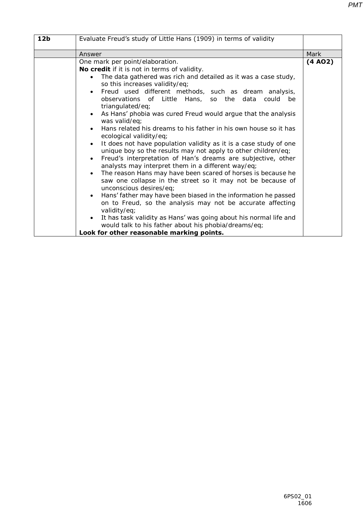| 12 <sub>b</sub> | Evaluate Freud's study of Little Hans (1909) in terms of validity                                                                                                                                                                                                                                                                                                                                                                                                                                                                                                                                                                                                                                                                                                                                                                                                                                                                                                                                                                                                                                                                                                                                                                                                                                      |         |
|-----------------|--------------------------------------------------------------------------------------------------------------------------------------------------------------------------------------------------------------------------------------------------------------------------------------------------------------------------------------------------------------------------------------------------------------------------------------------------------------------------------------------------------------------------------------------------------------------------------------------------------------------------------------------------------------------------------------------------------------------------------------------------------------------------------------------------------------------------------------------------------------------------------------------------------------------------------------------------------------------------------------------------------------------------------------------------------------------------------------------------------------------------------------------------------------------------------------------------------------------------------------------------------------------------------------------------------|---------|
|                 | Answer                                                                                                                                                                                                                                                                                                                                                                                                                                                                                                                                                                                                                                                                                                                                                                                                                                                                                                                                                                                                                                                                                                                                                                                                                                                                                                 | Mark    |
|                 | One mark per point/elaboration.<br>No credit if it is not in terms of validity.<br>The data gathered was rich and detailed as it was a case study,<br>so this increases validity/eq;<br>Freud used different methods, such as dream analysis,<br>$\bullet$<br>observations of Little Hans, so the<br>data<br>could<br>be<br>triangulated/eq;<br>As Hans' phobia was cured Freud would argue that the analysis<br>$\bullet$<br>was valid/eq;<br>Hans related his dreams to his father in his own house so it has<br>ecological validity/eq;<br>It does not have population validity as it is a case study of one<br>unique boy so the results may not apply to other children/eq;<br>Freud's interpretation of Han's dreams are subjective, other<br>analysts may interpret them in a different way/eq;<br>The reason Hans may have been scared of horses is because he<br>$\bullet$<br>saw one collapse in the street so it may not be because of<br>unconscious desires/eq;<br>Hans' father may have been biased in the information he passed<br>on to Freud, so the analysis may not be accurate affecting<br>validity/eq;<br>It has task validity as Hans' was going about his normal life and<br>would talk to his father about his phobia/dreams/eq;<br>Look for other reasonable marking points. | (4 A02) |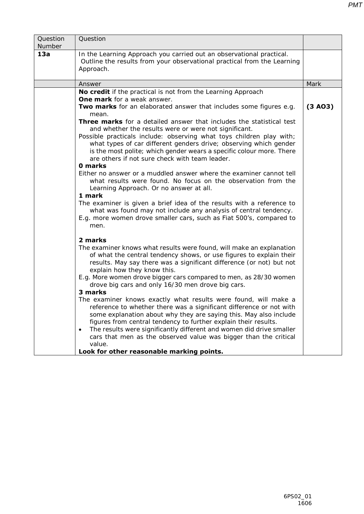| Question<br>Number | Question                                                                                                                                                                                                                                                                                                                                                                                                                                                                                                                                                                                                                                                                                                                                                                                                                                                                                             |         |
|--------------------|------------------------------------------------------------------------------------------------------------------------------------------------------------------------------------------------------------------------------------------------------------------------------------------------------------------------------------------------------------------------------------------------------------------------------------------------------------------------------------------------------------------------------------------------------------------------------------------------------------------------------------------------------------------------------------------------------------------------------------------------------------------------------------------------------------------------------------------------------------------------------------------------------|---------|
| 13a                | In the Learning Approach you carried out an observational practical.<br>Outline the results from your observational practical from the Learning<br>Approach.                                                                                                                                                                                                                                                                                                                                                                                                                                                                                                                                                                                                                                                                                                                                         |         |
|                    | Answer                                                                                                                                                                                                                                                                                                                                                                                                                                                                                                                                                                                                                                                                                                                                                                                                                                                                                               | Mark    |
|                    | No credit if the practical is not from the Learning Approach                                                                                                                                                                                                                                                                                                                                                                                                                                                                                                                                                                                                                                                                                                                                                                                                                                         |         |
|                    | <b>One mark</b> for a weak answer.<br>Two marks for an elaborated answer that includes some figures e.g.<br>mean.                                                                                                                                                                                                                                                                                                                                                                                                                                                                                                                                                                                                                                                                                                                                                                                    | (3 A03) |
|                    | Three marks for a detailed answer that includes the statistical test<br>and whether the results were or were not significant.<br>Possible practicals include: observing what toys children play with;<br>what types of car different genders drive; observing which gender<br>is the most polite; which gender wears a specific colour more. There<br>are others if not sure check with team leader.<br>0 marks<br>Either no answer or a muddled answer where the examiner cannot tell<br>what results were found. No focus on the observation from the<br>Learning Approach. Or no answer at all.<br>1 mark<br>The examiner is given a brief idea of the results with a reference to<br>what was found may not include any analysis of central tendency.<br>E.g. more women drove smaller cars, such as Fiat 500's, compared to<br>men.                                                             |         |
|                    | 2 marks<br>The examiner knows what results were found, will make an explanation<br>of what the central tendency shows, or use figures to explain their<br>results. May say there was a significant difference (or not) but not<br>explain how they know this.<br>E.g. More women drove bigger cars compared to men, as 28/30 women<br>drove big cars and only 16/30 men drove big cars.<br>3 marks<br>The examiner knows exactly what results were found, will make a<br>reference to whether there was a significant difference or not with<br>some explanation about why they are saying this. May also include<br>figures from central tendency to further explain their results.<br>The results were significantly different and women did drive smaller<br>$\bullet$<br>cars that men as the observed value was bigger than the critical<br>value.<br>Look for other reasonable marking points. |         |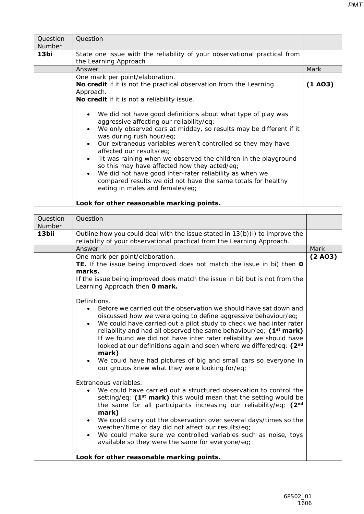| Question<br>Number | Question                                                                                                                                                                                                                                                                                                                                                                                                                                                                                                                                                                                            |         |
|--------------------|-----------------------------------------------------------------------------------------------------------------------------------------------------------------------------------------------------------------------------------------------------------------------------------------------------------------------------------------------------------------------------------------------------------------------------------------------------------------------------------------------------------------------------------------------------------------------------------------------------|---------|
| 13bi               | State one issue with the reliability of your observational practical from<br>the Learning Approach                                                                                                                                                                                                                                                                                                                                                                                                                                                                                                  |         |
|                    | Answer                                                                                                                                                                                                                                                                                                                                                                                                                                                                                                                                                                                              | Mark    |
|                    | One mark per point/elaboration.<br><b>No credit</b> if it is not the practical observation from the Learning<br>Approach.<br>No credit if it is not a reliability issue.                                                                                                                                                                                                                                                                                                                                                                                                                            | (1 A03) |
|                    | We did not have good definitions about what type of play was<br>aggressive affecting our reliability/eq;<br>We only observed cars at midday, so results may be different if it<br>was during rush hour/eq;<br>Our extraneous variables weren't controlled so they may have<br>affected our results/eq;<br>It was raining when we observed the children in the playground<br>so this may have affected how they acted/eq;<br>We did not have good inter-rater reliability as when we<br>$\bullet$<br>compared results we did not have the same totals for healthy<br>eating in males and females/eq; |         |
|                    | Look for other reasonable marking points.                                                                                                                                                                                                                                                                                                                                                                                                                                                                                                                                                           |         |

| Question<br>Number | Question                                                                                                                                                                                                                                                                                                                                                                                                                                                                                                                                                                                                                                                                                                                                                                                                                                                                                                                                                                                                                                                                                                                                      |         |
|--------------------|-----------------------------------------------------------------------------------------------------------------------------------------------------------------------------------------------------------------------------------------------------------------------------------------------------------------------------------------------------------------------------------------------------------------------------------------------------------------------------------------------------------------------------------------------------------------------------------------------------------------------------------------------------------------------------------------------------------------------------------------------------------------------------------------------------------------------------------------------------------------------------------------------------------------------------------------------------------------------------------------------------------------------------------------------------------------------------------------------------------------------------------------------|---------|
| 13bii              | Outline how you could deal with the issue stated in $13(b)(i)$ to improve the<br>reliability of your observational practical from the Learning Approach.                                                                                                                                                                                                                                                                                                                                                                                                                                                                                                                                                                                                                                                                                                                                                                                                                                                                                                                                                                                      |         |
|                    | Answer                                                                                                                                                                                                                                                                                                                                                                                                                                                                                                                                                                                                                                                                                                                                                                                                                                                                                                                                                                                                                                                                                                                                        | Mark    |
|                    | One mark per point/elaboration.<br>TE. If the issue being improved does not match the issue in bi) then <b>0</b><br>marks.<br>If the issue being improved does match the issue in bi) but is not from the<br>Learning Approach then 0 mark.                                                                                                                                                                                                                                                                                                                                                                                                                                                                                                                                                                                                                                                                                                                                                                                                                                                                                                   | (2 A03) |
|                    | Definitions.<br>Before we carried out the observation we should have sat down and<br>discussed how we were going to define aggressive behaviour/eq;<br>We could have carried out a pilot study to check we had inter rater<br>$\bullet$<br>reliability and had all observed the same behaviour/eq; (1 <sup>st</sup> mark)<br>If we found we did not have inter rater reliability we should have<br>looked at our definitions again and seen where we differed/eq; (2 <sup>nd</sup><br>mark)<br>We could have had pictures of big and small cars so everyone in<br>$\bullet$<br>our groups knew what they were looking for/eq;<br>Extraneous variables.<br>We could have carried out a structured observation to control the<br>setting/eq; $(1st mark)$ this would mean that the setting would be<br>the same for all participants increasing our reliability/eq; (2nd<br>mark)<br>We could carry out the observation over several days/times so the<br>$\bullet$<br>weather/time of day did not affect our results/eq;<br>We could make sure we controlled variables such as noise, toys<br>available so they were the same for everyone/eq; |         |
|                    | Look for other reasonable marking points.                                                                                                                                                                                                                                                                                                                                                                                                                                                                                                                                                                                                                                                                                                                                                                                                                                                                                                                                                                                                                                                                                                     |         |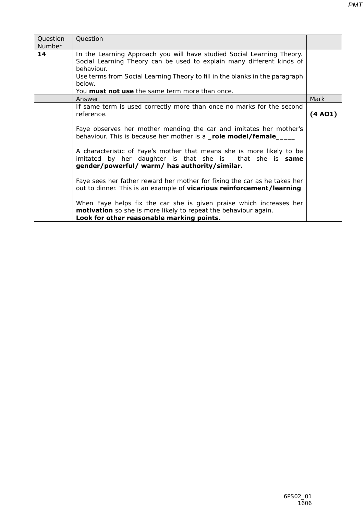| Question | Question                                                                     |         |
|----------|------------------------------------------------------------------------------|---------|
| Number   |                                                                              |         |
| 14       | In the Learning Approach you will have studied Social Learning Theory.       |         |
|          | Social Learning Theory can be used to explain many different kinds of        |         |
|          | behaviour.                                                                   |         |
|          | Use terms from Social Learning Theory to fill in the blanks in the paragraph |         |
|          | below.                                                                       |         |
|          | You <b>must not use</b> the same term more than once.                        |         |
|          | Answer                                                                       | Mark    |
|          | If same term is used correctly more than once no marks for the second        |         |
|          | reference.                                                                   | (4 A01) |
|          |                                                                              |         |
|          | Faye observes her mother mending the car and imitates her mother's           |         |
|          | behaviour. This is because her mother is a _role model/female_               |         |
|          |                                                                              |         |
|          | A characteristic of Faye's mother that means she is more likely to be        |         |
|          | imitated by her daughter is that she is that she is <b>same</b>              |         |
|          | gender/powerful/ warm/ has authority/similar.                                |         |
|          |                                                                              |         |
|          | Faye sees her father reward her mother for fixing the car as he takes her    |         |
|          | out to dinner. This is an example of <b>vicarious reinforcement/learning</b> |         |
|          |                                                                              |         |
|          | When Faye helps fix the car she is given praise which increases her          |         |
|          | <b>motivation</b> so she is more likely to repeat the behaviour again.       |         |
|          | Look for other reasonable marking points.                                    |         |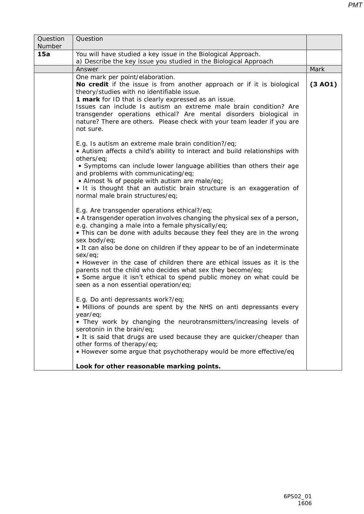| Question<br>Number | Question                                                                                                                                                                                                                                                                                                                                                                                                                                                                                                                                                                                                                    |         |
|--------------------|-----------------------------------------------------------------------------------------------------------------------------------------------------------------------------------------------------------------------------------------------------------------------------------------------------------------------------------------------------------------------------------------------------------------------------------------------------------------------------------------------------------------------------------------------------------------------------------------------------------------------------|---------|
| <b>15a</b>         | You will have studied a key issue in the Biological Approach.<br>a) Describe the key issue you studied in the Biological Approach                                                                                                                                                                                                                                                                                                                                                                                                                                                                                           |         |
|                    | Answer                                                                                                                                                                                                                                                                                                                                                                                                                                                                                                                                                                                                                      | Mark    |
|                    | One mark per point/elaboration.<br>No credit if the issue is from another approach or if it is biological<br>theory/studies with no identifiable issue.<br><b>1 mark</b> for ID that is clearly expressed as an issue.<br>Issues can include Is autism an extreme male brain condition? Are<br>transgender operations ethical? Are mental disorders biological in<br>nature? There are others. Please check with your team leader if you are<br>not sure.                                                                                                                                                                   | (3 A01) |
|                    | E.g. Is autism an extreme male brain condition?/eq;<br>• Autism affects a child's ability to interact and build relationships with<br>others/eq;<br>• Symptoms can include lower language abilities than others their age<br>and problems with communicating/eq;<br>• Almost 34 of people with autism are male/eq;<br>• It is thought that an autistic brain structure is an exaggeration of<br>normal male brain structures/eq;                                                                                                                                                                                            |         |
|                    | E.g. Are transgender operations ethical?/eq;<br>• A transgender operation involves changing the physical sex of a person,<br>e.g. changing a male into a female physically/eq;<br>• This can be done with adults because they feel they are in the wrong<br>sex body/eq;<br>• It can also be done on children if they appear to be of an indeterminate<br>sex/eq;<br>• However in the case of children there are ethical issues as it is the<br>parents not the child who decides what sex they become/eq;<br>• Some argue it isn't ethical to spend public money on what could be<br>seen as a non essential operation/eq; |         |
|                    | E.g. Do anti depressants work?/eq;<br>• Millions of pounds are spent by the NHS on anti depressants every<br>year/eq;<br>• They work by changing the neurotransmitters/increasing levels of<br>serotonin in the brain/eq;<br>• It is said that drugs are used because they are quicker/cheaper than<br>other forms of therapy/eq;<br>• However some argue that psychotherapy would be more effective/eq                                                                                                                                                                                                                     |         |
|                    | Look for other reasonable marking points.                                                                                                                                                                                                                                                                                                                                                                                                                                                                                                                                                                                   |         |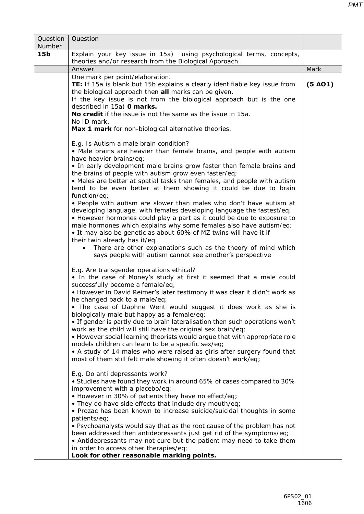| 15 <sub>b</sub> | Explain your key issue in 15a) using psychological terms, concepts,                                                                                                                                                                                                                                                                                                                                                                                                                                                                                                                                                                                                                                                                                                                                                                                                                                                                                                                                                                                                                                                                                                                                                                              |         |
|-----------------|--------------------------------------------------------------------------------------------------------------------------------------------------------------------------------------------------------------------------------------------------------------------------------------------------------------------------------------------------------------------------------------------------------------------------------------------------------------------------------------------------------------------------------------------------------------------------------------------------------------------------------------------------------------------------------------------------------------------------------------------------------------------------------------------------------------------------------------------------------------------------------------------------------------------------------------------------------------------------------------------------------------------------------------------------------------------------------------------------------------------------------------------------------------------------------------------------------------------------------------------------|---------|
|                 | theories and/or research from the Biological Approach.                                                                                                                                                                                                                                                                                                                                                                                                                                                                                                                                                                                                                                                                                                                                                                                                                                                                                                                                                                                                                                                                                                                                                                                           |         |
|                 | Answer                                                                                                                                                                                                                                                                                                                                                                                                                                                                                                                                                                                                                                                                                                                                                                                                                                                                                                                                                                                                                                                                                                                                                                                                                                           | Mark    |
|                 | One mark per point/elaboration.<br>TE: If 15a is blank but 15b explains a clearly identifiable key issue from<br>the biological approach then <b>all</b> marks can be given.<br>If the key issue is not from the biological approach but is the one<br>described in 15a) <b>0 marks.</b><br>No credit if the issue is not the same as the issue in 15a.<br>No ID mark.<br>Max 1 mark for non-biological alternative theories.<br>E.g. Is Autism a male brain condition?<br>• Male brains are heavier than female brains, and people with autism<br>have heavier brains/eq;<br>• In early development male brains grow faster than female brains and<br>the brains of people with autism grow even faster/eq;<br>• Males are better at spatial tasks than females, and people with autism<br>tend to be even better at them showing it could be due to brain<br>function/eq;<br>• People with autism are slower than males who don't have autism at<br>developing language, with females developing language the fastest/eq;<br>• However hormones could play a part as it could be due to exposure to<br>male hormones which explains why some females also have autism/eq;<br>• It may also be genetic as about 60% of MZ twins will have it if | (5 A01) |

E.g. Are transgender operations ethical?

• In the case of Money's study at first it seemed that a male could successfully become a female/eq;

- However in David Reimer's later testimony it was clear it didn't work as he changed back to a male/eq;
- The case of Daphne Went would suggest it does work as she is biologically male but happy as a female/eq;

• If gender is partly due to brain lateralisation then such operations won't work as the child will still have the original sex brain/eq;

• However social learning theorists would argue that with appropriate role models children can learn to be a specific sex/eq;

• A study of 14 males who were raised as girls after surgery found that most of them still felt male showing it often doesn't work/eq;

E.g. Do anti depressants work?

• Studies have found they work in around 65% of cases compared to 30% improvement with a placebo/eq;

• However in 30% of patients they have no effect/eq;

• They do have side effects that include dry mouth/eq;

• Prozac has been known to increase suicide/suicidal thoughts in some patients/eq;

• Psychoanalysts would say that as the root cause of the problem has not been addressed then antidepressants just get rid of the symptoms/eq;

• Antidepressants may not cure but the patient may need to take them in order to access other therapies/eq;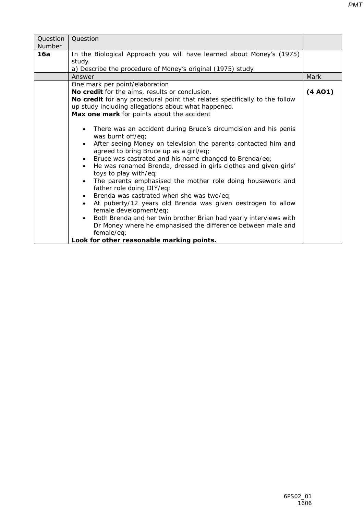| Question<br>Number | Question                                                                                                                                                                                                                                                                                                                                                                                                                                                                                                                                                                                                                                                  |         |
|--------------------|-----------------------------------------------------------------------------------------------------------------------------------------------------------------------------------------------------------------------------------------------------------------------------------------------------------------------------------------------------------------------------------------------------------------------------------------------------------------------------------------------------------------------------------------------------------------------------------------------------------------------------------------------------------|---------|
| <b>16a</b>         | In the Biological Approach you will have learned about Money's (1975)<br>study.<br>a) Describe the procedure of Money's original (1975) study.                                                                                                                                                                                                                                                                                                                                                                                                                                                                                                            |         |
|                    | Answer                                                                                                                                                                                                                                                                                                                                                                                                                                                                                                                                                                                                                                                    | Mark    |
|                    | One mark per point/elaboration<br>No credit for the aims, results or conclusion.<br><b>No credit</b> for any procedural point that relates specifically to the follow<br>up study including allegations about what happened.<br>Max one mark for points about the accident                                                                                                                                                                                                                                                                                                                                                                                | (4 A01) |
|                    | There was an accident during Bruce's circumcision and his penis<br>$\bullet$<br>was burnt off/eq;<br>After seeing Money on television the parents contacted him and<br>$\bullet$<br>agreed to bring Bruce up as a girl/eq;<br>Bruce was castrated and his name changed to Brenda/eq;<br>He was renamed Brenda, dressed in girls clothes and given girls'<br>toys to play with/eq;<br>The parents emphasised the mother role doing housework and<br>$\bullet$<br>father role doing DIY/eq;<br>Brenda was castrated when she was two/eq;<br>$\bullet$<br>At puberty/12 years old Brenda was given oestrogen to allow<br>$\bullet$<br>female development/eq; |         |

• Both Brenda and her twin brother Brian had yearly interviews with Dr Money where he emphasised the difference between male and female/eq;

**Look for other reasonable marking points.**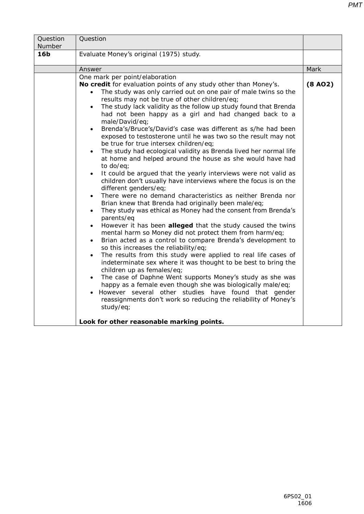|--|

| Question<br>Number | Question                                                                                                                                                                                                                                                                                                                                                                                                                                                                                                                                                                                                                                                                                                                                                                                                                                                                                                                                                                                                                                                                                                                                                                                                                                                                                                                                                                                                                                                                                                                                                                                                                                                                                                                                                                                                                                                                                                               |         |
|--------------------|------------------------------------------------------------------------------------------------------------------------------------------------------------------------------------------------------------------------------------------------------------------------------------------------------------------------------------------------------------------------------------------------------------------------------------------------------------------------------------------------------------------------------------------------------------------------------------------------------------------------------------------------------------------------------------------------------------------------------------------------------------------------------------------------------------------------------------------------------------------------------------------------------------------------------------------------------------------------------------------------------------------------------------------------------------------------------------------------------------------------------------------------------------------------------------------------------------------------------------------------------------------------------------------------------------------------------------------------------------------------------------------------------------------------------------------------------------------------------------------------------------------------------------------------------------------------------------------------------------------------------------------------------------------------------------------------------------------------------------------------------------------------------------------------------------------------------------------------------------------------------------------------------------------------|---------|
| 16 <sub>b</sub>    | Evaluate Money's original (1975) study.                                                                                                                                                                                                                                                                                                                                                                                                                                                                                                                                                                                                                                                                                                                                                                                                                                                                                                                                                                                                                                                                                                                                                                                                                                                                                                                                                                                                                                                                                                                                                                                                                                                                                                                                                                                                                                                                                |         |
|                    | Answer                                                                                                                                                                                                                                                                                                                                                                                                                                                                                                                                                                                                                                                                                                                                                                                                                                                                                                                                                                                                                                                                                                                                                                                                                                                                                                                                                                                                                                                                                                                                                                                                                                                                                                                                                                                                                                                                                                                 | Mark    |
|                    | One mark per point/elaboration<br>No credit for evaluation points of any study other than Money's.<br>The study was only carried out on one pair of male twins so the<br>$\bullet$<br>results may not be true of other children/eq;<br>The study lack validity as the follow up study found that Brenda<br>$\bullet$<br>had not been happy as a girl and had changed back to a<br>male/David/eq;<br>Brenda's/Bruce's/David's case was different as s/he had been<br>$\bullet$<br>exposed to testosterone until he was two so the result may not<br>be true for true intersex children/eq;<br>The study had ecological validity as Brenda lived her normal life<br>$\bullet$<br>at home and helped around the house as she would have had<br>to do/eq;<br>It could be argued that the yearly interviews were not valid as<br>children don't usually have interviews where the focus is on the<br>different genders/eq;<br>There were no demand characteristics as neither Brenda nor<br>$\bullet$<br>Brian knew that Brenda had originally been male/eq;<br>They study was ethical as Money had the consent from Brenda's<br>$\bullet$<br>parents/eq<br>However it has been <b>alleged</b> that the study caused the twins<br>$\bullet$<br>mental harm so Money did not protect them from harm/eq;<br>Brian acted as a control to compare Brenda's development to<br>$\bullet$<br>so this increases the reliability/eq;<br>The results from this study were applied to real life cases of<br>$\bullet$<br>indeterminate sex where it was thought to be best to bring the<br>children up as females/eq;<br>The case of Daphne Went supports Money's study as she was<br>happy as a female even though she was biologically male/eq;<br>However several other studies have found that gender<br>reassignments don't work so reducing the reliability of Money's<br>study/eq;<br>Look for other reasonable marking points. | (8 A02) |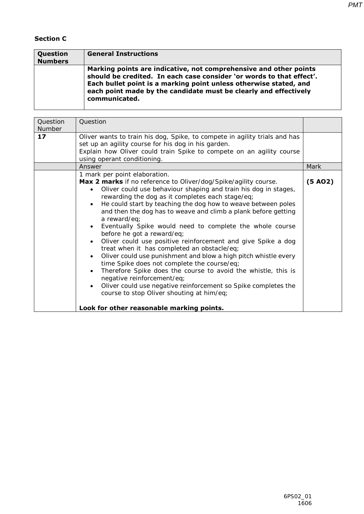#### **Section C**

| Question<br><b>Numbers</b> | <b>General Instructions</b>                                                                                                                                                                                                                                                                         |
|----------------------------|-----------------------------------------------------------------------------------------------------------------------------------------------------------------------------------------------------------------------------------------------------------------------------------------------------|
|                            | Marking points are indicative, not comprehensive and other points<br>should be credited. In each case consider 'or words to that effect'.<br>Each bullet point is a marking point unless otherwise stated, and<br>each point made by the candidate must be clearly and effectively<br>communicated. |

| Question<br>Number | Question                                                                                                                                                                                                                                                                                                                                                                                                                                                                                                                                                                                                                                                                                                                                                                                                                                                                                                                                                                      |                      |
|--------------------|-------------------------------------------------------------------------------------------------------------------------------------------------------------------------------------------------------------------------------------------------------------------------------------------------------------------------------------------------------------------------------------------------------------------------------------------------------------------------------------------------------------------------------------------------------------------------------------------------------------------------------------------------------------------------------------------------------------------------------------------------------------------------------------------------------------------------------------------------------------------------------------------------------------------------------------------------------------------------------|----------------------|
| 17                 | Oliver wants to train his dog, Spike, to compete in agility trials and has<br>set up an agility course for his dog in his garden.<br>Explain how Oliver could train Spike to compete on an agility course<br>using operant conditioning.                                                                                                                                                                                                                                                                                                                                                                                                                                                                                                                                                                                                                                                                                                                                      |                      |
|                    | Answer                                                                                                                                                                                                                                                                                                                                                                                                                                                                                                                                                                                                                                                                                                                                                                                                                                                                                                                                                                        | Mark                 |
|                    | 1 mark per point elaboration.<br>Max 2 marks if no reference to Oliver/dog/Spike/agility course.<br>Oliver could use behaviour shaping and train his dog in stages,<br>rewarding the dog as it completes each stage/eq;<br>He could start by teaching the dog how to weave between poles<br>and then the dog has to weave and climb a plank before getting<br>a reward/eq;<br>Eventually Spike would need to complete the whole course<br>before he got a reward/eq;<br>Oliver could use positive reinforcement and give Spike a dog<br>treat when it has completed an obstacle/eq;<br>Oliver could use punishment and blow a high pitch whistle every<br>$\bullet$<br>time Spike does not complete the course/eq;<br>Therefore Spike does the course to avoid the whistle, this is<br>negative reinforcement/eq;<br>Oliver could use negative reinforcement so Spike completes the<br>course to stop Oliver shouting at him/eq;<br>Look for other reasonable marking points. | (5 A <sub>02</sub> ) |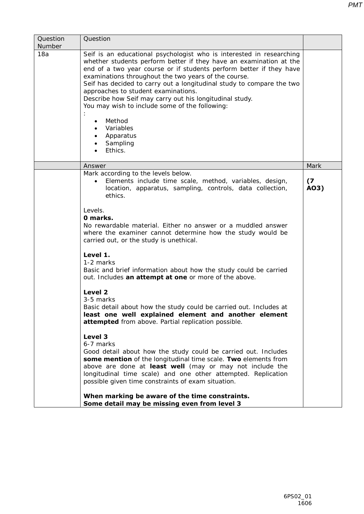|                                                | <b>PMT</b> |
|------------------------------------------------|------------|
|                                                |            |
| n researching<br>nation at the<br>if they have |            |

| 18a | Seif is an educational psychologist who is interested in researching<br>whether students perform better if they have an examination at the<br>end of a two year course or if students perform better if they have<br>examinations throughout the two years of the course.<br>Seif has decided to carry out a longitudinal study to compare the two<br>approaches to student examinations.<br>Describe how Seif may carry out his longitudinal study.<br>You may wish to include some of the following:<br>Method<br>Variables<br>Apparatus<br>Sampling<br>Ethics. |             |
|-----|-------------------------------------------------------------------------------------------------------------------------------------------------------------------------------------------------------------------------------------------------------------------------------------------------------------------------------------------------------------------------------------------------------------------------------------------------------------------------------------------------------------------------------------------------------------------|-------------|
|     | Answer                                                                                                                                                                                                                                                                                                                                                                                                                                                                                                                                                            | Mark        |
|     | Mark according to the levels below.<br>Elements include time scale, method, variables, design,<br>location, apparatus, sampling, controls, data collection,<br>ethics.                                                                                                                                                                                                                                                                                                                                                                                            | (7)<br>AO3) |
|     | Levels.<br>0 marks.<br>No rewardable material. Either no answer or a muddled answer<br>where the examiner cannot determine how the study would be<br>carried out, or the study is unethical.                                                                                                                                                                                                                                                                                                                                                                      |             |
|     | Level 1.<br>1-2 marks<br>Basic and brief information about how the study could be carried<br>out. Includes an attempt at one or more of the above.                                                                                                                                                                                                                                                                                                                                                                                                                |             |
|     | Level 2<br>3-5 marks<br>Basic detail about how the study could be carried out. Includes at<br>least one well explained element and another element<br>attempted from above. Partial replication possible.                                                                                                                                                                                                                                                                                                                                                         |             |
|     | Level 3<br>6-7 marks<br>Good detail about how the study could be carried out. Includes<br>some mention of the longitudinal time scale. Two elements from<br>above are done at least well (may or may not include the<br>longitudinal time scale) and one other attempted. Replication<br>possible given time constraints of exam situation.                                                                                                                                                                                                                       |             |
|     | When marking be aware of the time constraints.<br>Some detail may be missing even from level 3                                                                                                                                                                                                                                                                                                                                                                                                                                                                    |             |

**Question** Number

**Question**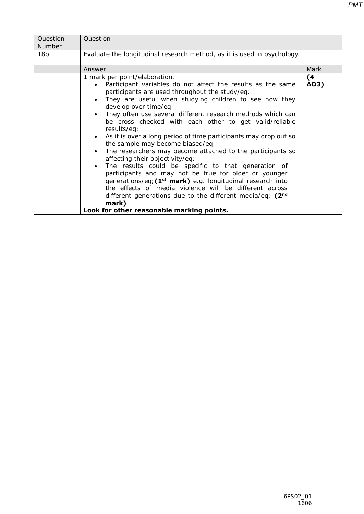| Question                                                                                                                                                                                                                                                                                                                                                                                                                                                                                                                                                                                                                                                                                                                                                                                                                                                                                                       |                                           |
|----------------------------------------------------------------------------------------------------------------------------------------------------------------------------------------------------------------------------------------------------------------------------------------------------------------------------------------------------------------------------------------------------------------------------------------------------------------------------------------------------------------------------------------------------------------------------------------------------------------------------------------------------------------------------------------------------------------------------------------------------------------------------------------------------------------------------------------------------------------------------------------------------------------|-------------------------------------------|
| Evaluate the longitudinal research method, as it is used in psychology.                                                                                                                                                                                                                                                                                                                                                                                                                                                                                                                                                                                                                                                                                                                                                                                                                                        |                                           |
| Answer                                                                                                                                                                                                                                                                                                                                                                                                                                                                                                                                                                                                                                                                                                                                                                                                                                                                                                         | Mark                                      |
| 1 mark per point/elaboration.<br>Participant variables do not affect the results as the same<br>participants are used throughout the study/eq;<br>They are useful when studying children to see how they<br>develop over time/eq;<br>They often use several different research methods which can<br>be cross checked with each other to get valid/reliable<br>results/eq;<br>As it is over a long period of time participants may drop out so<br>the sample may become biased/eq;<br>The researchers may become attached to the participants so<br>affecting their objectivity/eq;<br>The results could be specific to that generation of<br>participants and may not be true for older or younger<br>generations/eq; (1 <sup>st</sup> mark) e.g. longitudinal research into<br>the effects of media violence will be different across<br>different generations due to the different media/eq; $(2nd$<br>mark) | (4)<br>A03)                               |
|                                                                                                                                                                                                                                                                                                                                                                                                                                                                                                                                                                                                                                                                                                                                                                                                                                                                                                                | Look for other reasonable marking points. |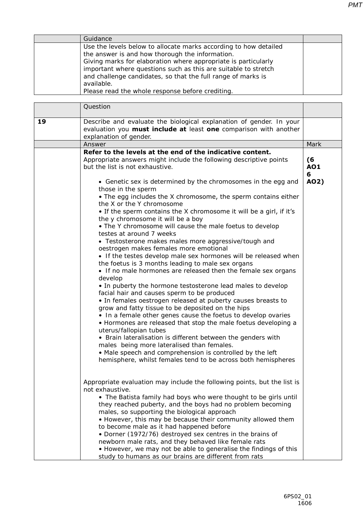| Guidance                                                                                                                                                                                                                                                                                                                                                                                  |  |
|-------------------------------------------------------------------------------------------------------------------------------------------------------------------------------------------------------------------------------------------------------------------------------------------------------------------------------------------------------------------------------------------|--|
| Use the levels below to allocate marks according to how detailed<br>the answer is and how thorough the information.<br>Giving marks for elaboration where appropriate is particularly<br>important where questions such as this are suitable to stretch<br>and challenge candidates, so that the full range of marks is<br>available.<br>Please read the whole response before crediting. |  |

|    | Question                                                                                                                                                                                                                                                                                                                                                                                                                                                                                                                                                                                                                                                                                                                                                                                                                                                                                                                                                                                                                                                                                                                                                                                                                                                                                                                                                                                                                                                                                                                                                                                                                                                                                                                                                                                                                                                                                                                                                                               |                       |
|----|----------------------------------------------------------------------------------------------------------------------------------------------------------------------------------------------------------------------------------------------------------------------------------------------------------------------------------------------------------------------------------------------------------------------------------------------------------------------------------------------------------------------------------------------------------------------------------------------------------------------------------------------------------------------------------------------------------------------------------------------------------------------------------------------------------------------------------------------------------------------------------------------------------------------------------------------------------------------------------------------------------------------------------------------------------------------------------------------------------------------------------------------------------------------------------------------------------------------------------------------------------------------------------------------------------------------------------------------------------------------------------------------------------------------------------------------------------------------------------------------------------------------------------------------------------------------------------------------------------------------------------------------------------------------------------------------------------------------------------------------------------------------------------------------------------------------------------------------------------------------------------------------------------------------------------------------------------------------------------------|-----------------------|
| 19 | Describe and evaluate the biological explanation of gender. In your<br>evaluation you <b>must include at</b> least one comparison with another<br>explanation of gender.                                                                                                                                                                                                                                                                                                                                                                                                                                                                                                                                                                                                                                                                                                                                                                                                                                                                                                                                                                                                                                                                                                                                                                                                                                                                                                                                                                                                                                                                                                                                                                                                                                                                                                                                                                                                               |                       |
|    | Answer                                                                                                                                                                                                                                                                                                                                                                                                                                                                                                                                                                                                                                                                                                                                                                                                                                                                                                                                                                                                                                                                                                                                                                                                                                                                                                                                                                                                                                                                                                                                                                                                                                                                                                                                                                                                                                                                                                                                                                                 | Mark                  |
|    | Refer to the levels at the end of the indicative content.<br>Appropriate answers might include the following descriptive points<br>but the list is not exhaustive.                                                                                                                                                                                                                                                                                                                                                                                                                                                                                                                                                                                                                                                                                                                                                                                                                                                                                                                                                                                                                                                                                                                                                                                                                                                                                                                                                                                                                                                                                                                                                                                                                                                                                                                                                                                                                     | (6<br><b>AO1</b><br>6 |
|    | • Genetic sex is determined by the chromosomes in the egg and<br>those in the sperm<br>• The egg includes the X chromosome, the sperm contains either<br>the X or the Y chromosome<br>• If the sperm contains the X chromosome it will be a girl, if it's<br>the y chromosome it will be a boy<br>• The Y chromosome will cause the male foetus to develop<br>testes at around 7 weeks<br>• Testosterone makes males more aggressive/tough and<br>oestrogen makes females more emotional<br>• If the testes develop male sex hormones will be released when<br>the foetus is 3 months leading to male sex organs<br>• If no male hormones are released then the female sex organs<br>develop<br>• In puberty the hormone testosterone lead males to develop<br>facial hair and causes sperm to be produced<br>• In females oestrogen released at puberty causes breasts to<br>grow and fatty tissue to be deposited on the hips<br>• In a female other genes cause the foetus to develop ovaries<br>• Hormones are released that stop the male foetus developing a<br>uterus/fallopian tubes<br>• Brain lateralisation is different between the genders with<br>males being more lateralised than females.<br>• Male speech and comprehension is controlled by the left<br>hemisphere, whilst females tend to be across both hemispheres<br>Appropriate evaluation may include the following points, but the list is<br>not exhaustive.<br>• The Batista family had boys who were thought to be girls until<br>they reached puberty, and the boys had no problem becoming<br>males, so supporting the biological approach<br>• However, this may be because their community allowed them<br>to become male as it had happened before<br>• Dorner (1972/76) destroyed sex centres in the brains of<br>newborn male rats, and they behaved like female rats<br>• However, we may not be able to generalise the findings of this<br>study to humans as our brains are different from rats | AO2)                  |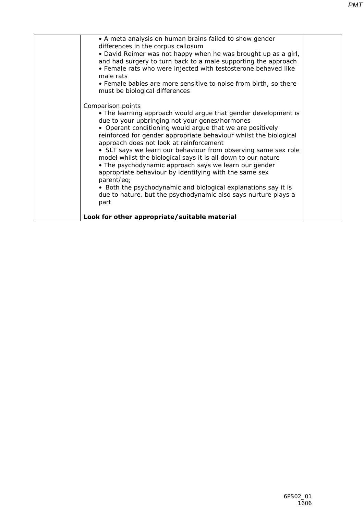| • A meta analysis on human brains failed to show gender<br>differences in the corpus callosum<br>• David Reimer was not happy when he was brought up as a girl,<br>and had surgery to turn back to a male supporting the approach<br>• Female rats who were injected with testosterone behaved like                                                                                                                                                                                                                                                                                                                                                                                                                                |  |
|------------------------------------------------------------------------------------------------------------------------------------------------------------------------------------------------------------------------------------------------------------------------------------------------------------------------------------------------------------------------------------------------------------------------------------------------------------------------------------------------------------------------------------------------------------------------------------------------------------------------------------------------------------------------------------------------------------------------------------|--|
| male rats<br>• Female babies are more sensitive to noise from birth, so there<br>must be biological differences                                                                                                                                                                                                                                                                                                                                                                                                                                                                                                                                                                                                                    |  |
| Comparison points<br>• The learning approach would argue that gender development is<br>due to your upbringing not your genes/hormones<br>• Operant conditioning would argue that we are positively<br>reinforced for gender appropriate behaviour whilst the biological<br>approach does not look at reinforcement<br>• SLT says we learn our behaviour from observing same sex role<br>model whilst the biological says it is all down to our nature<br>• The psychodynamic approach says we learn our gender<br>appropriate behaviour by identifying with the same sex<br>parent/eq;<br>• Both the psychodynamic and biological explanations say it is<br>due to nature, but the psychodynamic also says nurture plays a<br>part |  |
| Look for other appropriate/suitable material                                                                                                                                                                                                                                                                                                                                                                                                                                                                                                                                                                                                                                                                                       |  |